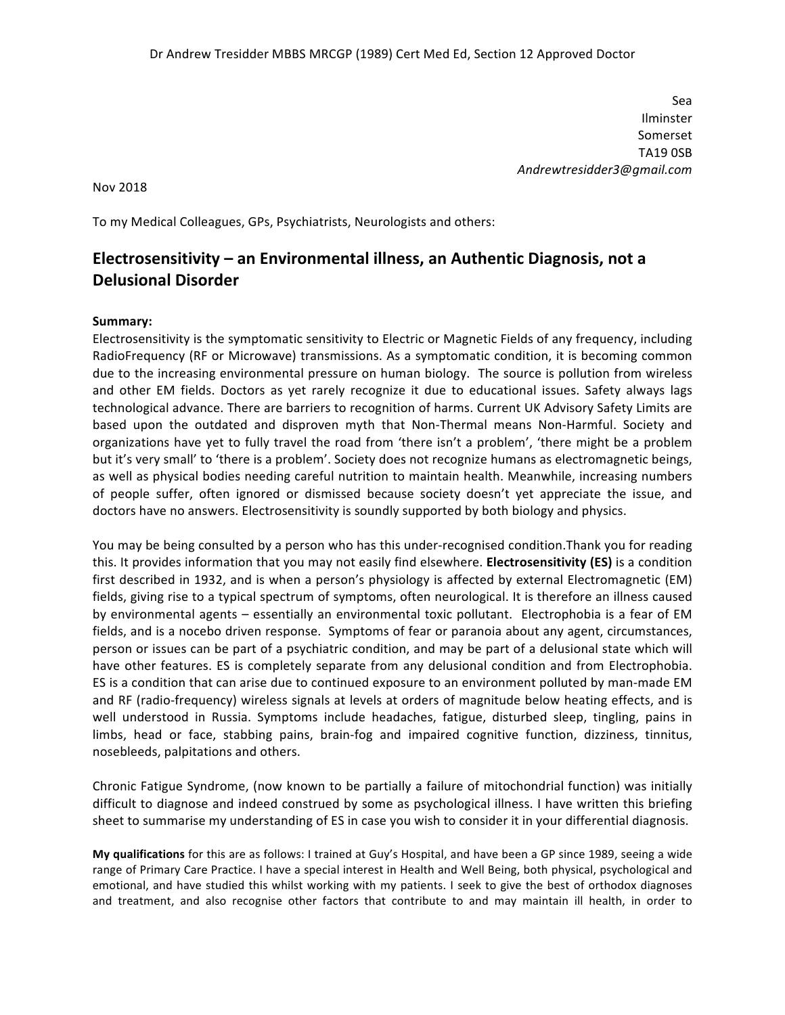Sea Ilminster Somerset TA19 0SB *Andrewtresidder3@gmail.com*

Nov 2018

To my Medical Colleagues, GPs, Psychiatrists, Neurologists and others:

## **Electrosensitivity** – an Environmental illness, an Authentic Diagnosis, not a **Delusional Disorder**

#### **Summary:**

Electrosensitivity is the symptomatic sensitivity to Electric or Magnetic Fields of any frequency, including RadioFrequency (RF or Microwave) transmissions. As a symptomatic condition, it is becoming common due to the increasing environmental pressure on human biology. The source is pollution from wireless and other EM fields. Doctors as yet rarely recognize it due to educational issues. Safety always lags technological advance. There are barriers to recognition of harms. Current UK Advisory Safety Limits are based upon the outdated and disproven myth that Non-Thermal means Non-Harmful. Society and organizations have yet to fully travel the road from 'there isn't a problem', 'there might be a problem but it's very small' to 'there is a problem'. Society does not recognize humans as electromagnetic beings, as well as physical bodies needing careful nutrition to maintain health. Meanwhile, increasing numbers of people suffer, often ignored or dismissed because society doesn't yet appreciate the issue, and doctors have no answers. Electrosensitivity is soundly supported by both biology and physics.

You may be being consulted by a person who has this under-recognised condition.Thank you for reading this. It provides information that you may not easily find elsewhere. **Electrosensitivity (ES)** is a condition first described in 1932, and is when a person's physiology is affected by external Electromagnetic (EM) fields, giving rise to a typical spectrum of symptoms, often neurological. It is therefore an illness caused by environmental agents – essentially an environmental toxic pollutant. Electrophobia is a fear of EM fields, and is a nocebo driven response. Symptoms of fear or paranoia about any agent, circumstances, person or issues can be part of a psychiatric condition, and may be part of a delusional state which will have other features. ES is completely separate from any delusional condition and from Electrophobia. ES is a condition that can arise due to continued exposure to an environment polluted by man-made EM and RF (radio-frequency) wireless signals at levels at orders of magnitude below heating effects, and is well understood in Russia. Symptoms include headaches, fatigue, disturbed sleep, tingling, pains in limbs, head or face, stabbing pains, brain-fog and impaired cognitive function, dizziness, tinnitus, nosebleeds, palpitations and others.

Chronic Fatigue Syndrome, (now known to be partially a failure of mitochondrial function) was initially difficult to diagnose and indeed construed by some as psychological illness. I have written this briefing sheet to summarise my understanding of ES in case you wish to consider it in your differential diagnosis.

My qualifications for this are as follows: I trained at Guy's Hospital, and have been a GP since 1989, seeing a wide range of Primary Care Practice. I have a special interest in Health and Well Being, both physical, psychological and emotional, and have studied this whilst working with my patients. I seek to give the best of orthodox diagnoses and treatment, and also recognise other factors that contribute to and may maintain ill health, in order to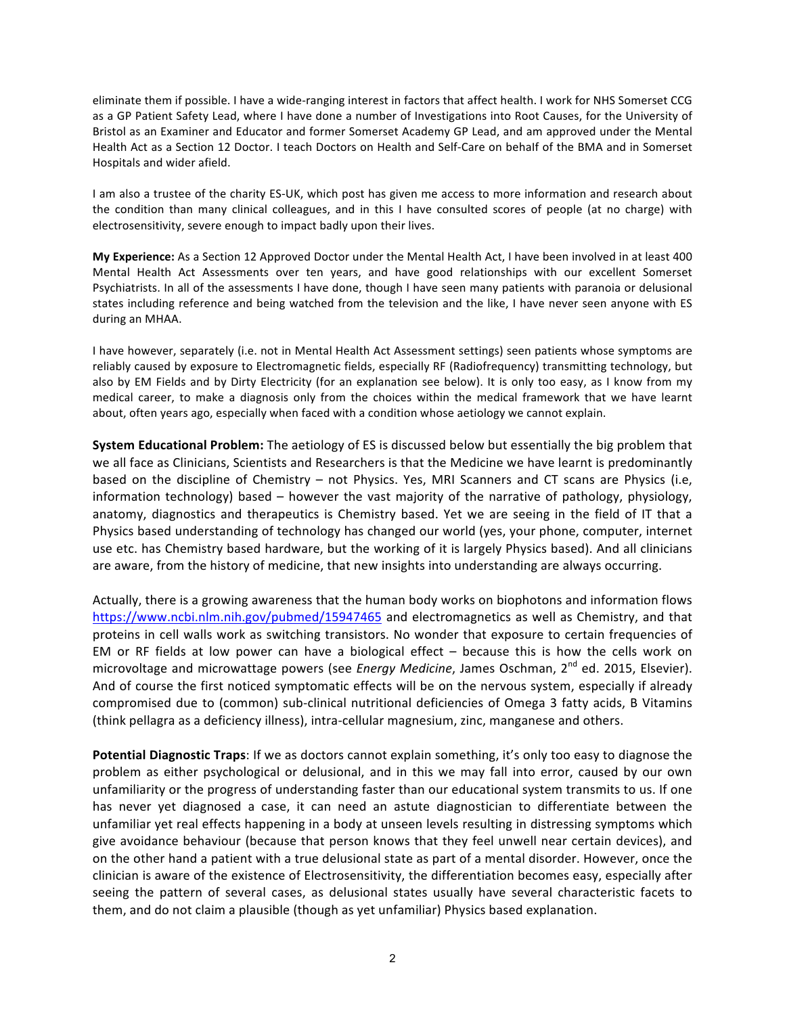eliminate them if possible. I have a wide-ranging interest in factors that affect health. I work for NHS Somerset CCG as a GP Patient Safety Lead, where I have done a number of Investigations into Root Causes, for the University of Bristol as an Examiner and Educator and former Somerset Academy GP Lead, and am approved under the Mental Health Act as a Section 12 Doctor. I teach Doctors on Health and Self-Care on behalf of the BMA and in Somerset Hospitals and wider afield.

I am also a trustee of the charity ES-UK, which post has given me access to more information and research about the condition than many clinical colleagues, and in this I have consulted scores of people (at no charge) with electrosensitivity, severe enough to impact badly upon their lives.

**My Experience:** As a Section 12 Approved Doctor under the Mental Health Act, I have been involved in at least 400 Mental Health Act Assessments over ten years, and have good relationships with our excellent Somerset Psychiatrists. In all of the assessments I have done, though I have seen many patients with paranoia or delusional states including reference and being watched from the television and the like, I have never seen anyone with ES during an MHAA.

I have however, separately (i.e. not in Mental Health Act Assessment settings) seen patients whose symptoms are reliably caused by exposure to Electromagnetic fields, especially RF (Radiofrequency) transmitting technology, but also by EM Fields and by Dirty Electricity (for an explanation see below). It is only too easy, as I know from my medical career, to make a diagnosis only from the choices within the medical framework that we have learnt about, often years ago, especially when faced with a condition whose aetiology we cannot explain.

**System Educational Problem:** The aetiology of ES is discussed below but essentially the big problem that we all face as Clinicians, Scientists and Researchers is that the Medicine we have learnt is predominantly based on the discipline of Chemistry  $-$  not Physics. Yes, MRI Scanners and CT scans are Physics (i.e, information technology) based  $-$  however the vast majority of the narrative of pathology, physiology, anatomy, diagnostics and therapeutics is Chemistry based. Yet we are seeing in the field of IT that a Physics based understanding of technology has changed our world (yes, your phone, computer, internet use etc. has Chemistry based hardware, but the working of it is largely Physics based). And all clinicians are aware, from the history of medicine, that new insights into understanding are always occurring.

Actually, there is a growing awareness that the human body works on biophotons and information flows https://www.ncbi.nlm.nih.gov/pubmed/15947465 and electromagnetics as well as Chemistry, and that proteins in cell walls work as switching transistors. No wonder that exposure to certain frequencies of EM or RF fields at low power can have a biological effect  $-$  because this is how the cells work on microvoltage and microwattage powers (see *Energy Medicine*, James Oschman, 2<sup>nd</sup> ed. 2015, Elsevier). And of course the first noticed symptomatic effects will be on the nervous system, especially if already compromised due to (common) sub-clinical nutritional deficiencies of Omega 3 fatty acids, B Vitamins (think pellagra as a deficiency illness), intra-cellular magnesium, zinc, manganese and others.

Potential Diagnostic Traps: If we as doctors cannot explain something, it's only too easy to diagnose the problem as either psychological or delusional, and in this we may fall into error, caused by our own unfamiliarity or the progress of understanding faster than our educational system transmits to us. If one has never yet diagnosed a case, it can need an astute diagnostician to differentiate between the unfamiliar yet real effects happening in a body at unseen levels resulting in distressing symptoms which give avoidance behaviour (because that person knows that they feel unwell near certain devices), and on the other hand a patient with a true delusional state as part of a mental disorder. However, once the clinician is aware of the existence of Electrosensitivity, the differentiation becomes easy, especially after seeing the pattern of several cases, as delusional states usually have several characteristic facets to them, and do not claim a plausible (though as yet unfamiliar) Physics based explanation.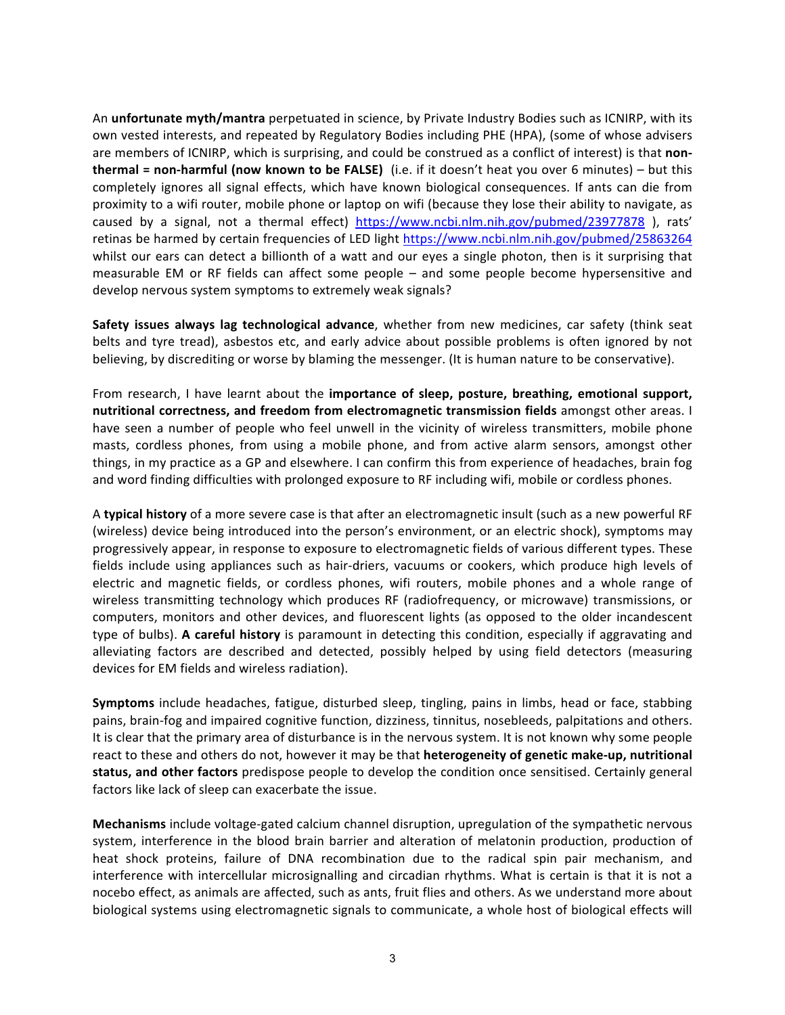An **unfortunate myth/mantra** perpetuated in science, by Private Industry Bodies such as ICNIRP, with its own vested interests, and repeated by Regulatory Bodies including PHE (HPA), (some of whose advisers are members of ICNIRP, which is surprising, and could be construed as a conflict of interest) is that non**thermal = non-harmful (now known to be FALSE)** (i.e. if it doesn't heat you over 6 minutes) – but this completely ignores all signal effects, which have known biological consequences. If ants can die from proximity to a wifi router, mobile phone or laptop on wifi (because they lose their ability to navigate, as caused by a signal, not a thermal effect) https://www.ncbi.nlm.nih.gov/pubmed/23977878 ), rats' retinas be harmed by certain frequencies of LED light https://www.ncbi.nlm.nih.gov/pubmed/25863264 whilst our ears can detect a billionth of a watt and our eyes a single photon, then is it surprising that measurable EM or RF fields can affect some people – and some people become hypersensitive and develop nervous system symptoms to extremely weak signals?

**Safety issues always lag technological advance**, whether from new medicines, car safety (think seat belts and tyre tread), asbestos etc, and early advice about possible problems is often ignored by not believing, by discrediting or worse by blaming the messenger. (It is human nature to be conservative).

From research, I have learnt about the *importance* of sleep, posture, breathing, emotional support, **nutritional correctness, and freedom from electromagnetic transmission fields** amongst other areas. I have seen a number of people who feel unwell in the vicinity of wireless transmitters, mobile phone masts, cordless phones, from using a mobile phone, and from active alarm sensors, amongst other things, in my practice as a GP and elsewhere. I can confirm this from experience of headaches, brain fog and word finding difficulties with prolonged exposure to RF including wifi, mobile or cordless phones.

A typical history of a more severe case is that after an electromagnetic insult (such as a new powerful RF (wireless) device being introduced into the person's environment, or an electric shock), symptoms may progressively appear, in response to exposure to electromagnetic fields of various different types. These fields include using appliances such as hair-driers, vacuums or cookers, which produce high levels of electric and magnetic fields, or cordless phones, wifi routers, mobile phones and a whole range of wireless transmitting technology which produces RF (radiofrequency, or microwave) transmissions, or computers, monitors and other devices, and fluorescent lights (as opposed to the older incandescent type of bulbs). A careful history is paramount in detecting this condition, especially if aggravating and alleviating factors are described and detected, possibly helped by using field detectors (measuring devices for EM fields and wireless radiation).

**Symptoms** include headaches, fatigue, disturbed sleep, tingling, pains in limbs, head or face, stabbing pains, brain-fog and impaired cognitive function, dizziness, tinnitus, nosebleeds, palpitations and others. It is clear that the primary area of disturbance is in the nervous system. It is not known why some people react to these and others do not, however it may be that **heterogeneity of genetic make-up, nutritional** status, and other factors predispose people to develop the condition once sensitised. Certainly general factors like lack of sleep can exacerbate the issue.

**Mechanisms** include voltage-gated calcium channel disruption, upregulation of the sympathetic nervous system, interference in the blood brain barrier and alteration of melatonin production, production of heat shock proteins, failure of DNA recombination due to the radical spin pair mechanism, and interference with intercellular microsignalling and circadian rhythms. What is certain is that it is not a nocebo effect, as animals are affected, such as ants, fruit flies and others. As we understand more about biological systems using electromagnetic signals to communicate, a whole host of biological effects will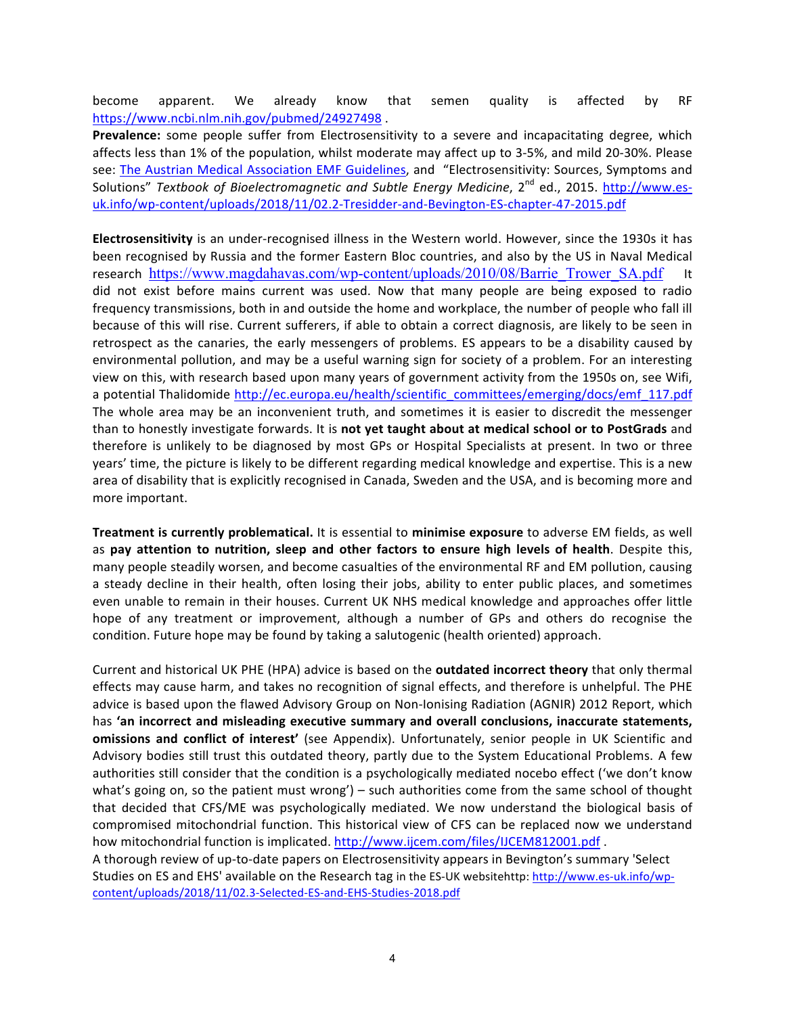become apparent. We already know that semen quality is affected by RF https://www.ncbi.nlm.nih.gov/pubmed/24927498.

**Prevalence:** some people suffer from Electrosensitivity to a severe and incapacitating degree, which affects less than 1% of the population, whilst moderate may affect up to 3-5%, and mild 20-30%. Please see: The Austrian Medical Association EMF Guidelines, and "Electrosensitivity: Sources, Symptoms and Solutions" *Textbook of Bioelectromagnetic and Subtle Energy Medicine*, 2<sup>nd</sup> ed., 2015. http://www.esuk.info/wp-content/uploads/2018/11/02.2-Tresidder-and-Bevington-ES-chapter-47-2015.pdf

**Electrosensitivity** is an under-recognised illness in the Western world. However, since the 1930s it has been recognised by Russia and the former Eastern Bloc countries, and also by the US in Naval Medical research https://www.magdahavas.com/wp-content/uploads/2010/08/Barrie Trower SA.pdf did not exist before mains current was used. Now that many people are being exposed to radio frequency transmissions, both in and outside the home and workplace, the number of people who fall ill because of this will rise. Current sufferers, if able to obtain a correct diagnosis, are likely to be seen in retrospect as the canaries, the early messengers of problems. ES appears to be a disability caused by environmental pollution, and may be a useful warning sign for society of a problem. For an interesting view on this, with research based upon many years of government activity from the 1950s on, see Wifi, a potential Thalidomide http://ec.europa.eu/health/scientific\_committees/emerging/docs/emf\_117.pdf The whole area may be an inconvenient truth, and sometimes it is easier to discredit the messenger than to honestly investigate forwards. It is not yet taught about at medical school or to PostGrads and therefore is unlikely to be diagnosed by most GPs or Hospital Specialists at present. In two or three years' time, the picture is likely to be different regarding medical knowledge and expertise. This is a new area of disability that is explicitly recognised in Canada, Sweden and the USA, and is becoming more and more important.

**Treatment is currently problematical.** It is essential to minimise exposure to adverse EM fields, as well as pay attention to nutrition, sleep and other factors to ensure high levels of health. Despite this, many people steadily worsen, and become casualties of the environmental RF and EM pollution, causing a steady decline in their health, often losing their jobs, ability to enter public places, and sometimes even unable to remain in their houses. Current UK NHS medical knowledge and approaches offer little hope of any treatment or improvement, although a number of GPs and others do recognise the condition. Future hope may be found by taking a salutogenic (health oriented) approach.

Current and historical UK PHE (HPA) advice is based on the **outdated incorrect theory** that only thermal effects may cause harm, and takes no recognition of signal effects, and therefore is unhelpful. The PHE advice is based upon the flawed Advisory Group on Non-Ionising Radiation (AGNIR) 2012 Report, which has 'an incorrect and misleading executive summary and overall conclusions, inaccurate statements, **omissions and conflict of interest'** (see Appendix). Unfortunately, senior people in UK Scientific and Advisory bodies still trust this outdated theory, partly due to the System Educational Problems. A few authorities still consider that the condition is a psychologically mediated nocebo effect ('we don't know what's going on, so the patient must wrong') – such authorities come from the same school of thought that decided that CFS/ME was psychologically mediated. We now understand the biological basis of compromised mitochondrial function. This historical view of CFS can be replaced now we understand how mitochondrial function is implicated. http://www.ijcem.com/files/IJCEM812001.pdf. A thorough review of up-to-date papers on Electrosensitivity appears in Bevington's summary 'Select

Studies on ES and EHS' available on the Research tag in the ES-UK websitehttp: http://www.es-uk.info/wpcontent/uploads/2018/11/02.3-Selected-ES-and-EHS-Studies-2018.pdf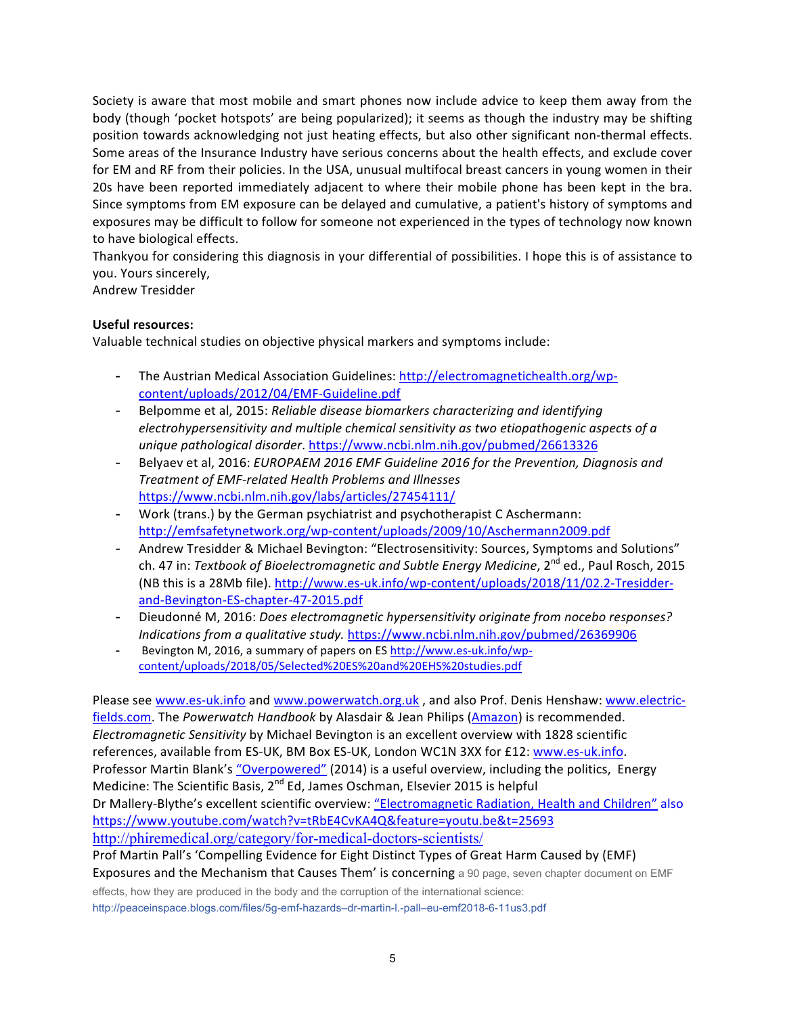Society is aware that most mobile and smart phones now include advice to keep them away from the body (though 'pocket hotspots' are being popularized); it seems as though the industry may be shifting position towards acknowledging not just heating effects, but also other significant non-thermal effects. Some areas of the Insurance Industry have serious concerns about the health effects, and exclude cover for EM and RF from their policies. In the USA, unusual multifocal breast cancers in young women in their 20s have been reported immediately adjacent to where their mobile phone has been kept in the bra. Since symptoms from EM exposure can be delayed and cumulative, a patient's history of symptoms and exposures may be difficult to follow for someone not experienced in the types of technology now known to have biological effects.

Thankyou for considering this diagnosis in your differential of possibilities. I hope this is of assistance to you. Yours sincerely,

Andrew Tresidder

### **Useful resources:**

Valuable technical studies on objective physical markers and symptoms include:

- The Austrian Medical Association Guidelines: http://electromagnetichealth.org/wpcontent/uploads/2012/04/EMF-Guideline.pdf
- Belpomme et al, 2015: *Reliable disease biomarkers characterizing and identifying electrohypersensitivity* and multiple chemical sensitivity as two etiopathogenic aspects of a *unique pathological disorder*. https://www.ncbi.nlm.nih.gov/pubmed/26613326
- Belyaev et al, 2016: *EUROPAEM 2016 EMF Guideline 2016 for the Prevention, Diagnosis and Treatment of EMF-related Health Problems and Illnesses* https://www.ncbi.nlm.nih.gov/labs/articles/27454111/
- Work (trans.) by the German psychiatrist and psychotherapist C Aschermann: http://emfsafetynetwork.org/wp-content/uploads/2009/10/Aschermann2009.pdf
- Andrew Tresidder & Michael Bevington: "Electrosensitivity: Sources, Symptoms and Solutions" ch. 47 in: *Textbook of Bioelectromagnetic and Subtle Energy Medicine*, 2<sup>nd</sup> ed., Paul Rosch, 2015 (NB this is a 28Mb file). http://www.es-uk.info/wp-content/uploads/2018/11/02.2-Tresidderand-Bevington-ES-chapter-47-2015.pdf
- Dieudonné M, 2016: *Does electromagnetic hypersensitivity originate from nocebo responses?* Indications from a qualitative study. https://www.ncbi.nlm.nih.gov/pubmed/26369906
- Bevington M, 2016, a summary of papers on ES http://www.es-uk.info/wpcontent/uploads/2018/05/Selected%20ES%20and%20EHS%20studies.pdf

Please see www.es-uk.info and www.powerwatch.org.uk, and also Prof. Denis Henshaw: www.electricfields.com. The *Powerwatch Handbook* by Alasdair & Jean Philips (Amazon) is recommended. *Electromagnetic Sensitivity* by Michael Bevington is an excellent overview with 1828 scientific references, available from ES-UK, BM Box ES-UK, London WC1N 3XX for £12: www.es-uk.info. Professor Martin Blank's "Overpowered" (2014) is a useful overview, including the politics, Energy Medicine: The Scientific Basis,  $2^{nd}$  Ed, James Oschman, Elsevier 2015 is helpful Dr Mallery-Blythe's excellent scientific overview: "Electromagnetic Radiation, Health and Children" also https://www.youtube.com/watch?v=tRbE4CvKA4Q&feature=youtu.be&t=25693 http://phiremedical.org/category/for-medical-doctors-scientists/

Prof Martin Pall's 'Compelling Evidence for Eight Distinct Types of Great Harm Caused by (EMF) Exposures and the Mechanism that Causes Them' is concerning a 90 page, seven chapter document on EMF effects, how they are produced in the body and the corruption of the international science:

http://peaceinspace.blogs.com/files/5g-emf-hazards–dr-martin-l.-pall–eu-emf2018-6-11us3.pdf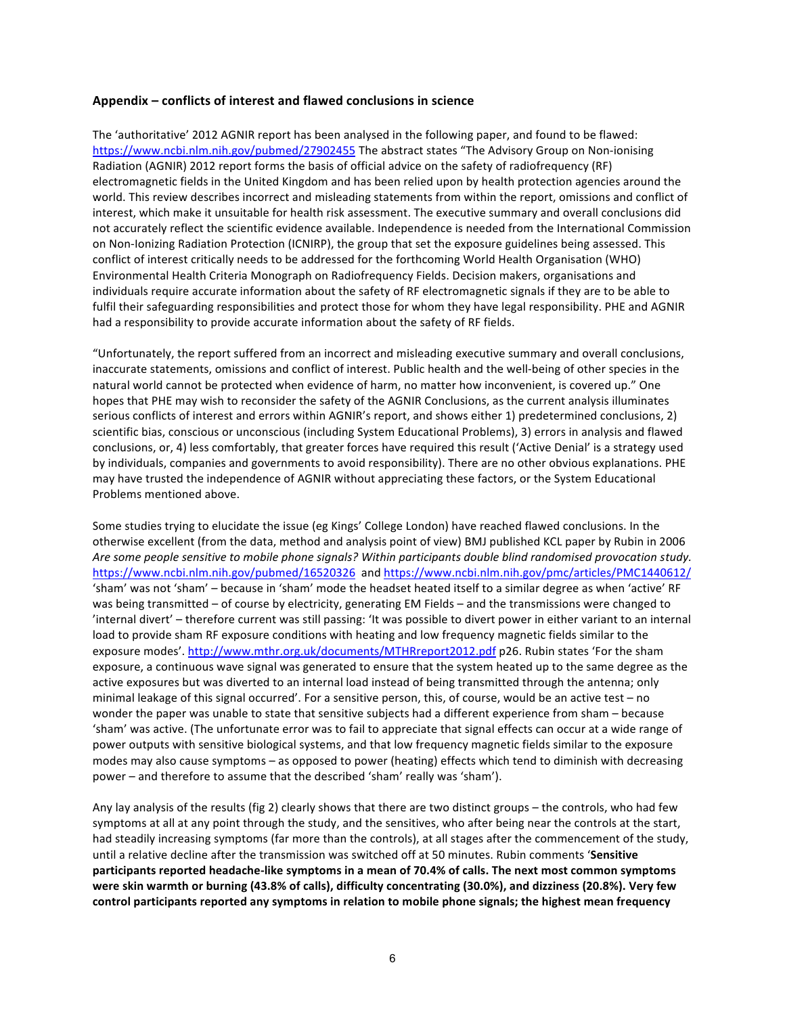#### Appendix – conflicts of interest and flawed conclusions in science

The 'authoritative' 2012 AGNIR report has been analysed in the following paper, and found to be flawed: https://www.ncbi.nlm.nih.gov/pubmed/27902455 The abstract states "The Advisory Group on Non-ionising Radiation (AGNIR) 2012 report forms the basis of official advice on the safety of radiofrequency (RF) electromagnetic fields in the United Kingdom and has been relied upon by health protection agencies around the world. This review describes incorrect and misleading statements from within the report, omissions and conflict of interest, which make it unsuitable for health risk assessment. The executive summary and overall conclusions did not accurately reflect the scientific evidence available. Independence is needed from the International Commission on Non-Ionizing Radiation Protection (ICNIRP), the group that set the exposure guidelines being assessed. This conflict of interest critically needs to be addressed for the forthcoming World Health Organisation (WHO) Environmental Health Criteria Monograph on Radiofrequency Fields. Decision makers, organisations and individuals require accurate information about the safety of RF electromagnetic signals if they are to be able to fulfil their safeguarding responsibilities and protect those for whom they have legal responsibility. PHE and AGNIR had a responsibility to provide accurate information about the safety of RF fields.

"Unfortunately, the report suffered from an incorrect and misleading executive summary and overall conclusions, inaccurate statements, omissions and conflict of interest. Public health and the well-being of other species in the natural world cannot be protected when evidence of harm, no matter how inconvenient, is covered up." One hopes that PHE may wish to reconsider the safety of the AGNIR Conclusions, as the current analysis illuminates serious conflicts of interest and errors within AGNIR's report, and shows either 1) predetermined conclusions, 2) scientific bias, conscious or unconscious (including System Educational Problems), 3) errors in analysis and flawed conclusions, or, 4) less comfortably, that greater forces have required this result ('Active Denial' is a strategy used by individuals, companies and governments to avoid responsibility). There are no other obvious explanations. PHE may have trusted the independence of AGNIR without appreciating these factors, or the System Educational Problems mentioned above.

Some studies trying to elucidate the issue (eg Kings' College London) have reached flawed conclusions. In the otherwise excellent (from the data, method and analysis point of view) BMJ published KCL paper by Rubin in 2006 Are some people sensitive to mobile phone signals? Within participants double blind randomised provocation study. https://www.ncbi.nlm.nih.gov/pubmed/16520326 and https://www.ncbi.nlm.nih.gov/pmc/articles/PMC1440612/ 'sham' was not 'sham' - because in 'sham' mode the headset heated itself to a similar degree as when 'active' RF was being transmitted – of course by electricity, generating EM Fields – and the transmissions were changed to 'internal divert' - therefore current was still passing: 'It was possible to divert power in either variant to an internal load to provide sham RF exposure conditions with heating and low frequency magnetic fields similar to the exposure modes'. http://www.mthr.org.uk/documents/MTHRreport2012.pdf p26. Rubin states 'For the sham exposure, a continuous wave signal was generated to ensure that the system heated up to the same degree as the active exposures but was diverted to an internal load instead of being transmitted through the antenna; only minimal leakage of this signal occurred'. For a sensitive person, this, of course, would be an active test - no wonder the paper was unable to state that sensitive subjects had a different experience from sham – because 'sham' was active. (The unfortunate error was to fail to appreciate that signal effects can occur at a wide range of power outputs with sensitive biological systems, and that low frequency magnetic fields similar to the exposure modes may also cause symptoms – as opposed to power (heating) effects which tend to diminish with decreasing power – and therefore to assume that the described 'sham' really was 'sham').

Any lay analysis of the results (fig 2) clearly shows that there are two distinct groups – the controls, who had few symptoms at all at any point through the study, and the sensitives, who after being near the controls at the start, had steadily increasing symptoms (far more than the controls), at all stages after the commencement of the study, until a relative decline after the transmission was switched off at 50 minutes. Rubin comments 'Sensitive participants reported headache-like symptoms in a mean of 70.4% of calls. The next most common symptoms were skin warmth or burning (43.8% of calls), difficulty concentrating (30.0%), and dizziness (20.8%). Very few control participants reported any symptoms in relation to mobile phone signals; the highest mean frequency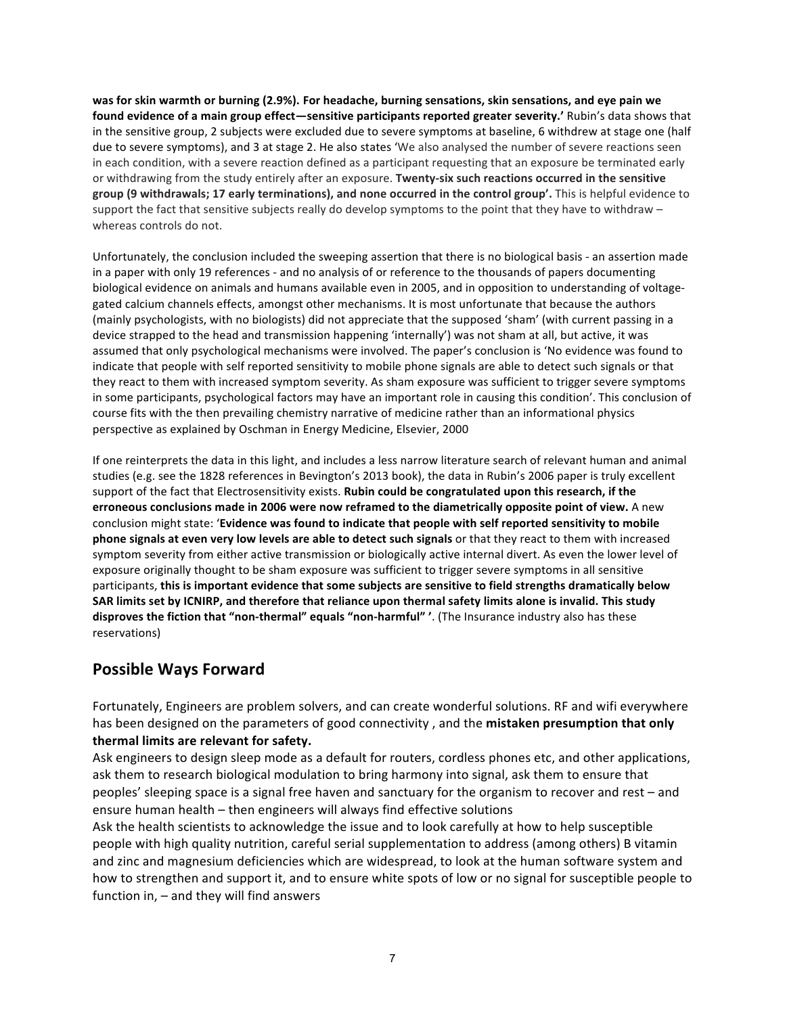was for skin warmth or burning (2.9%). For headache, burning sensations, skin sensations, and eye pain we found evidence of a main group effect—sensitive participants reported greater severity.' Rubin's data shows that in the sensitive group, 2 subjects were excluded due to severe symptoms at baseline, 6 withdrew at stage one (half due to severe symptoms), and 3 at stage 2. He also states 'We also analysed the number of severe reactions seen in each condition, with a severe reaction defined as a participant requesting that an exposure be terminated early or withdrawing from the study entirely after an exposure. **Twenty-six such reactions occurred in the sensitive** group (9 withdrawals; 17 early terminations), and none occurred in the control group'. This is helpful evidence to support the fact that sensitive subjects really do develop symptoms to the point that they have to withdraw  $$ whereas controls do not.

Unfortunately, the conclusion included the sweeping assertion that there is no biological basis - an assertion made in a paper with only 19 references - and no analysis of or reference to the thousands of papers documenting biological evidence on animals and humans available even in 2005, and in opposition to understanding of voltagegated calcium channels effects, amongst other mechanisms. It is most unfortunate that because the authors (mainly psychologists, with no biologists) did not appreciate that the supposed 'sham' (with current passing in a device strapped to the head and transmission happening 'internally') was not sham at all, but active, it was assumed that only psychological mechanisms were involved. The paper's conclusion is 'No evidence was found to indicate that people with self reported sensitivity to mobile phone signals are able to detect such signals or that they react to them with increased symptom severity. As sham exposure was sufficient to trigger severe symptoms in some participants, psychological factors may have an important role in causing this condition'. This conclusion of course fits with the then prevailing chemistry narrative of medicine rather than an informational physics perspective as explained by Oschman in Energy Medicine, Elsevier, 2000

If one reinterprets the data in this light, and includes a less narrow literature search of relevant human and animal studies (e.g. see the 1828 references in Bevington's 2013 book), the data in Rubin's 2006 paper is truly excellent support of the fact that Electrosensitivity exists. Rubin could be congratulated upon this research, if the erroneous conclusions made in 2006 were now reframed to the diametrically opposite point of view. A new conclusion might state: 'Evidence was found to indicate that people with self reported sensitivity to mobile **phone signals at even very low levels are able to detect such signals** or that they react to them with increased symptom severity from either active transmission or biologically active internal divert. As even the lower level of exposure originally thought to be sham exposure was sufficient to trigger severe symptoms in all sensitive participants, this is important evidence that some subjects are sensitive to field strengths dramatically below SAR limits set by ICNIRP, and therefore that reliance upon thermal safety limits alone is invalid. This study disproves the fiction that "non-thermal" equals "non-harmful" '. (The Insurance industry also has these reservations)

## **Possible Ways Forward**

Fortunately, Engineers are problem solvers, and can create wonderful solutions. RF and wifi everywhere has been designed on the parameters of good connectivity, and the mistaken presumption that only thermal limits are relevant for safety.

Ask engineers to design sleep mode as a default for routers, cordless phones etc, and other applications, ask them to research biological modulation to bring harmony into signal, ask them to ensure that peoples' sleeping space is a signal free haven and sanctuary for the organism to recover and rest – and ensure human health – then engineers will always find effective solutions

Ask the health scientists to acknowledge the issue and to look carefully at how to help susceptible people with high quality nutrition, careful serial supplementation to address (among others) B vitamin and zinc and magnesium deficiencies which are widespread, to look at the human software system and how to strengthen and support it, and to ensure white spots of low or no signal for susceptible people to function in,  $-$  and they will find answers